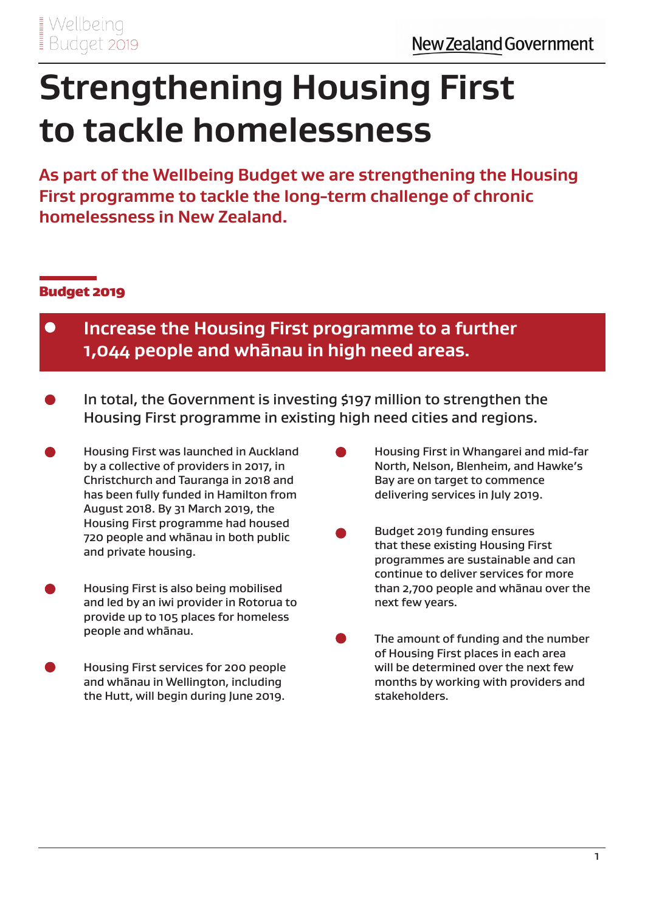# **Strengthening Housing First to tackle homelessness**

**As part of the Wellbeing Budget we are strengthening the Housing First programme to tackle the long-term challenge of chronic homelessness in New Zealand.** 

### Budget 2019

- $\bullet$ **Increase the Housing First programme to a further 1,044 people and whānau in high need areas.**
- In total, the Government is investing \$197 million to strengthen the Housing First programme in existing high need cities and regions.
- Housing First was launched in Auckland by a collective of providers in 2017, in Christchurch and Tauranga in 2018 and has been fully funded in Hamilton from August 2018. By 31 March 2019, the Housing First programme had housed 720 people and whānau in both public and private housing.
- Housing First is also being mobilised and led by an iwi provider in Rotorua to provide up to 105 places for homeless people and whānau.
- Housing First services for 200 people and whānau in Wellington, including the Hutt, will begin during June 2019.
- Housing First in Whangarei and mid-far North, Nelson, Blenheim, and Hawke's Bay are on target to commence delivering services in July 2019.
- Budget 2019 funding ensures that these existing Housing First programmes are sustainable and can continue to deliver services for more than 2,700 people and whānau over the next few years.
- The amount of funding and the number of Housing First places in each area will be determined over the next few months by working with providers and stakeholders.